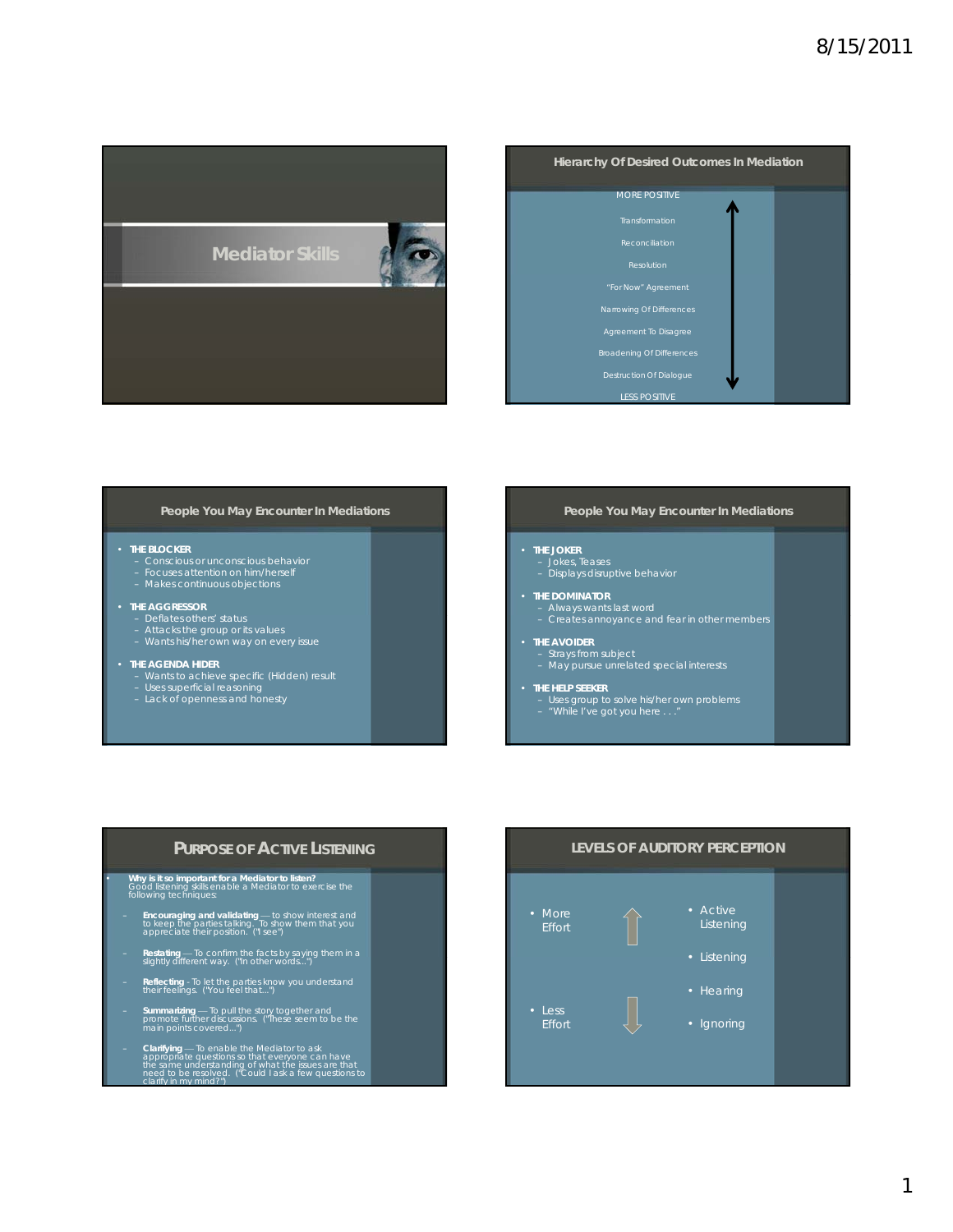

| Hierarchy Of Desired Outcomes In Mediation |  |
|--------------------------------------------|--|
| <b>MORE POSITIVE</b>                       |  |
| Transformation                             |  |
| Reconciliation                             |  |
| Resolution                                 |  |
| "For Now" Agreement                        |  |
| Narrowing Of Differences                   |  |
| Agreement To Disagree                      |  |
| <b>Broadening Of Differences</b>           |  |
| <b>Destruction Of Dialogue</b>             |  |
| <b>LESS POSITIVE</b>                       |  |

### **People You May Encounter In Mediations**

### • **THE BLOCKER**

- Conscious or unconscious behavior Focuses attention on him/herself Makes continuous objections
- 

### • **THE AGGRESSOR**

- 
- Deflates others' status<br>- Attacks the group or its values<br>- Wants his/her own way on every issue

- **THE AGENDA HIDER** Wants to achieve specific (Hidden) result Uses superficial reasoning Lack of openness and honesty
	-

# **People You May Encounter In Mediations**

# • **THE JOKER**

- Jokes, Teases Displays disruptive behavior
- THE DOMINATOR<br>Falways wants last word<br>Fall freates annoyance and fear in other members
	-

- **THE AVOIDER** Strays from subject May pursue unrelated special interests
- **THE HELP SEEKER**
	- Uses group to solve his/her own problems "While I've got you here . . ."

# **PURPOSE OF ACTIVE LISTENING**

# • **Why is it so important for a Mediator to listen?** Good listening skills enable a Mediator to exercise the following techniques:

- **Encouraging and validating** to show interest and to keep the parties talking. To show them that you appreciate their position. ("I see")
- 
- Restating To confirm the facts by saying them in a slightly different way. ("In other words...")
- **Reflecting** To let the parties know you understand their feelings. ("You feel that...")
- **Summarizing** To pull the story together and<br>promote further discussions. ("These seem to be the<br>main points covered...")
- **Clarifying** To enable the Mediator to ask appropriate questions so that everyone can have the same understanding of what the issues are that<br>need to be resolved. ("Could I ask a few questions to<br>clarify in my mind?")

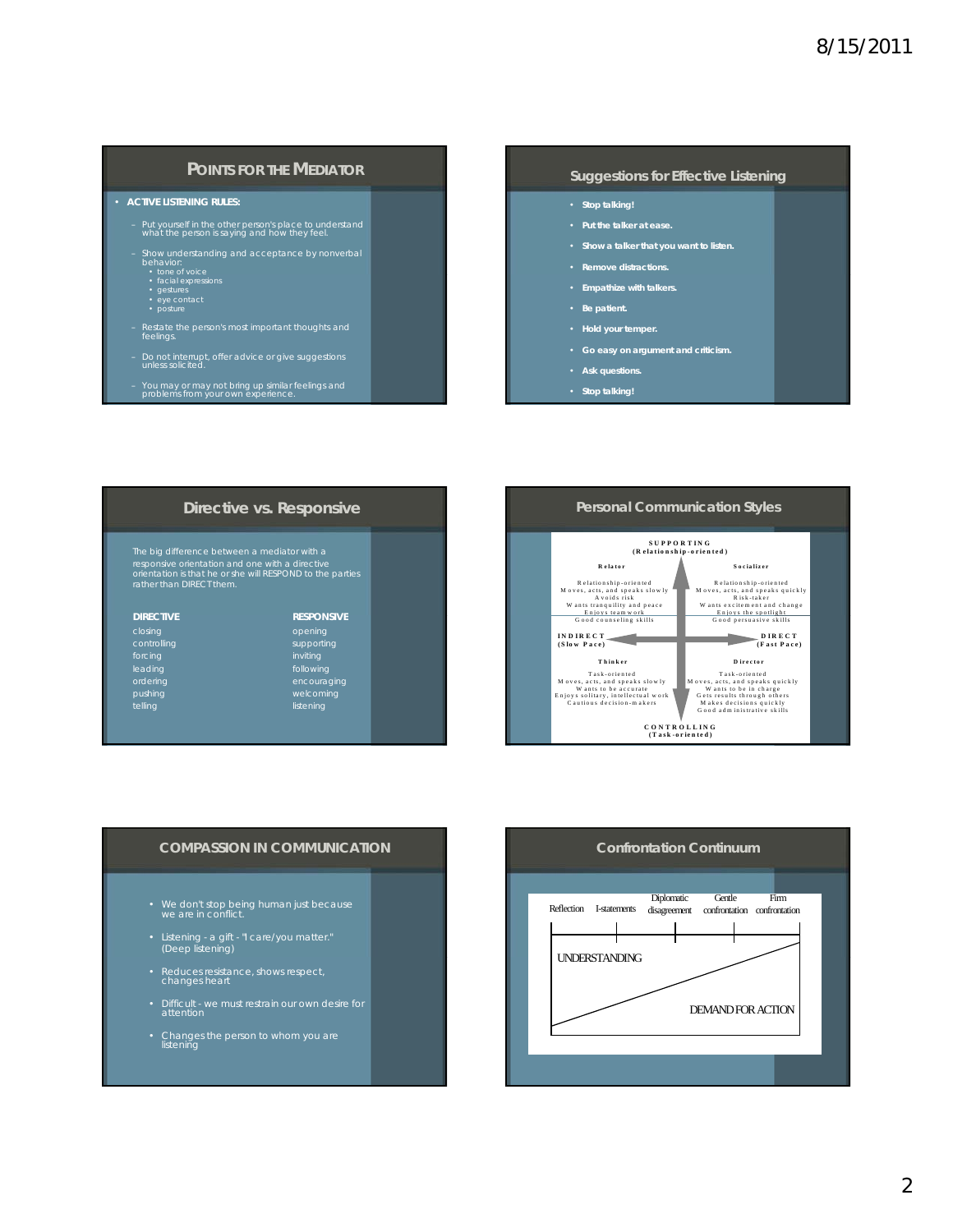# **POINTS FOR THE MEDIATOR**

# • **ACTIVE LISTENING RULES:**

- Put yourself in the other person's place to understand what the person is saying and how they feel.
- Show understanding and acceptance by nonverbal behavior:
- - tone of voice<br>• facial expressions<br>• gestures<br>• posture
- 
- Restate the person's most important thoughts and feelings.
- Do not interrupt, offer advice or give suggestions *unless* solicited.
- You may or may not bring up similar feelings and problems from your own experience.

# **Suggestions for Effective Listening**

- **Stop talking!**
- **Put the talker at ease.**
- **Show a talker that you want to listen.**
- **Remove distractions.**
- **Empathize with talkers.**
- **Be patient.**
- **Hold your temper.**
- **Go easy on argument and criticism.**
- **Ask questions.**
- **Stop talking!**

| Directive vs. Responsive                                                                                                                                                                 |                   |
|------------------------------------------------------------------------------------------------------------------------------------------------------------------------------------------|-------------------|
| The big difference between a mediator with a<br>responsive orientation and one with a directive<br>orientation is that he or she will RESPOND to the parties<br>rather than DIRECT them. |                   |
| <b>DIRECTIVE</b>                                                                                                                                                                         | <b>RESPONSIVE</b> |
| closing                                                                                                                                                                                  | opening           |
| controlling                                                                                                                                                                              | supporting        |
| forcing                                                                                                                                                                                  | inviting          |
| leading                                                                                                                                                                                  | following         |
| ordering                                                                                                                                                                                 | encouraging       |
| pushing                                                                                                                                                                                  | welcoming         |
| telling                                                                                                                                                                                  | listening         |



# **COMPASSION IN COMMUNICATION**

- We don't stop being human just because we are in conflict.
- Listening a gift "I care/you matter." (Deep listening)
- Reduces resistance, shows respect, changes heart
- Difficult we must restrain our own desire for attention
- Changes the person to whom you are listening